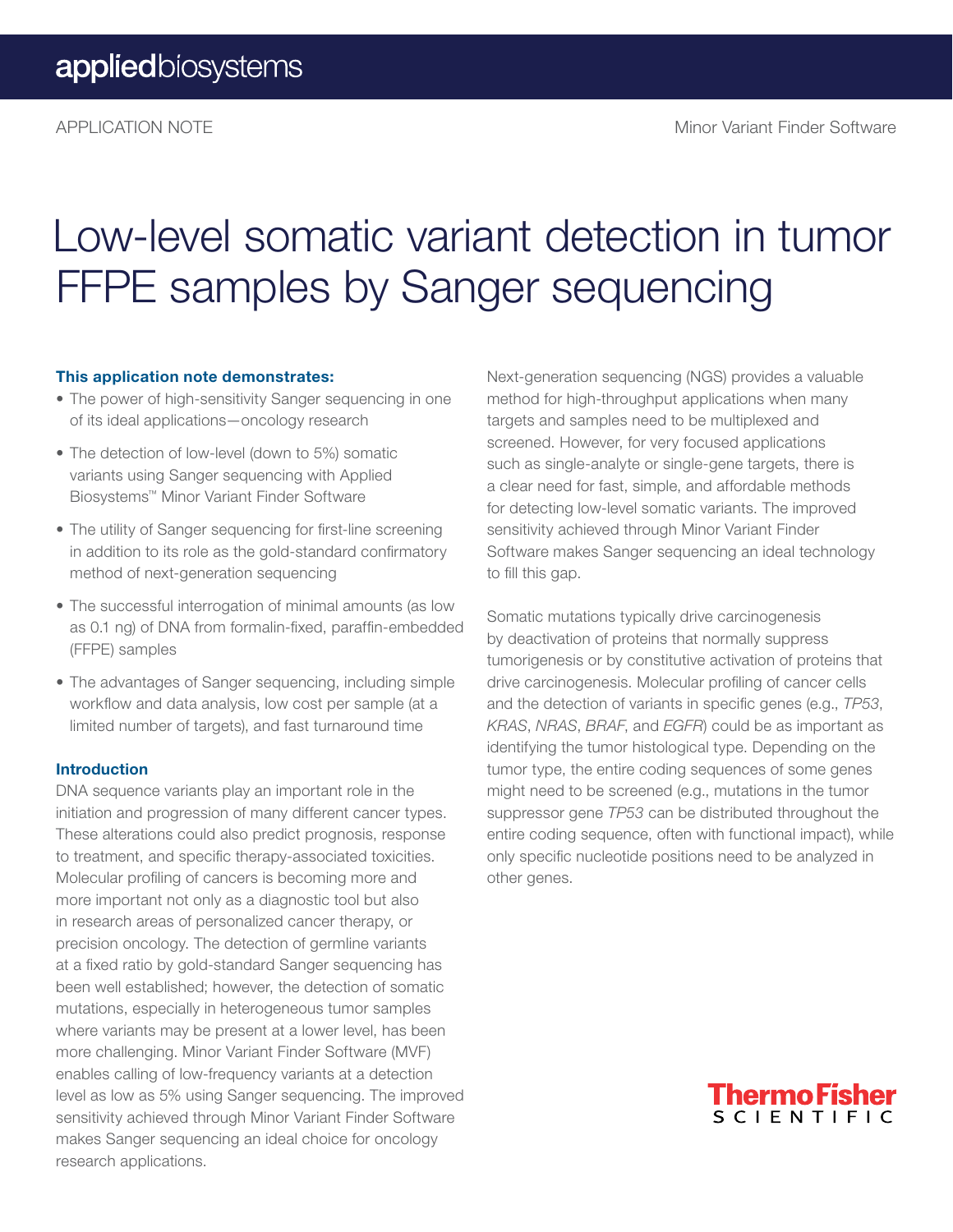# Low-level somatic variant detection in tumor FFPE samples by Sanger sequencing

#### This application note demonstrates:

- The power of high-sensitivity Sanger sequencing in one of its ideal applications—oncology research
- The detection of low-level (down to 5%) somatic variants using Sanger sequencing with Applied Biosystems™ Minor Variant Finder Software
- The utility of Sanger sequencing for first-line screening in addition to its role as the gold-standard confirmatory method of next-generation sequencing
- The successful interrogation of minimal amounts (as low as 0.1 ng) of DNA from formalin-fixed, paraffin-embedded (FFPE) samples
- The advantages of Sanger sequencing, including simple workflow and data analysis, low cost per sample (at a limited number of targets), and fast turnaround time

#### Introduction

DNA sequence variants play an important role in the initiation and progression of many different cancer types. These alterations could also predict prognosis, response to treatment, and specific therapy-associated toxicities. Molecular profiling of cancers is becoming more and more important not only as a diagnostic tool but also in research areas of personalized cancer therapy, or precision oncology. The detection of germline variants at a fixed ratio by gold-standard Sanger sequencing has been well established; however, the detection of somatic mutations, especially in heterogeneous tumor samples where variants may be present at a lower level, has been more challenging. Minor Variant Finder Software (MVF) enables calling of low-frequency variants at a detection level as low as 5% using Sanger sequencing. The improved sensitivity achieved through Minor Variant Finder Software makes Sanger sequencing an ideal choice for oncology research applications.

Next-generation sequencing (NGS) provides a valuable method for high-throughput applications when many targets and samples need to be multiplexed and screened. However, for very focused applications such as single-analyte or single-gene targets, there is a clear need for fast, simple, and affordable methods for detecting low-level somatic variants. The improved sensitivity achieved through Minor Variant Finder Software makes Sanger sequencing an ideal technology to fill this gap.

Somatic mutations typically drive carcinogenesis by deactivation of proteins that normally suppress tumorigenesis or by constitutive activation of proteins that drive carcinogenesis. Molecular profiling of cancer cells and the detection of variants in specific genes (e.g., *TP53*, *KRAS*, *NRAS*, *BRAF*, and *EGFR*) could be as important as identifying the tumor histological type. Depending on the tumor type, the entire coding sequences of some genes might need to be screened (e.g., mutations in the tumor suppressor gene *TP53* can be distributed throughout the entire coding sequence, often with functional impact), while only specific nucleotide positions need to be analyzed in other genes.

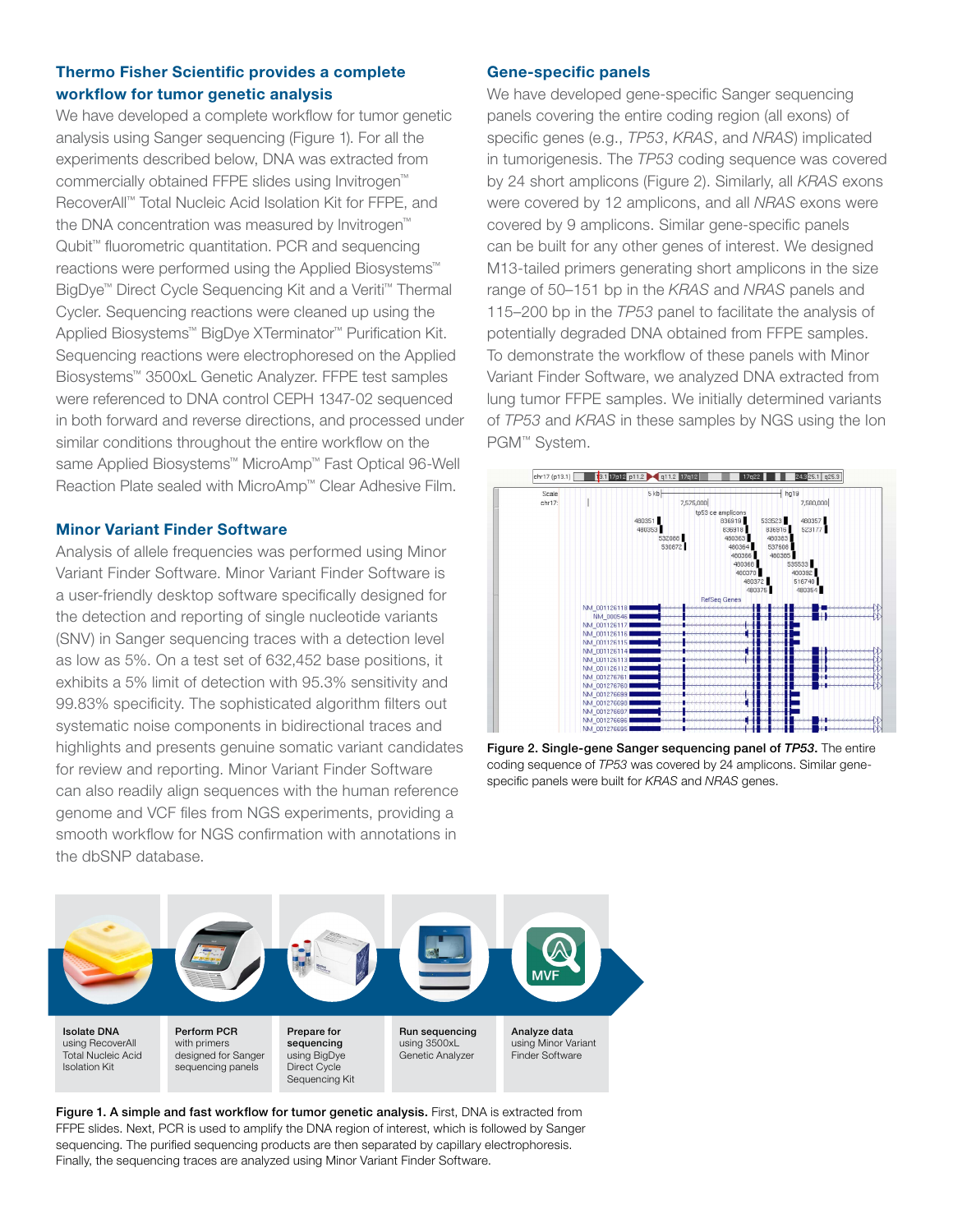#### Thermo Fisher Scientific provides a complete workflow for tumor genetic analysis

We have developed a complete workflow for tumor genetic analysis using Sanger sequencing (Figure 1). For all the experiments described below, DNA was extracted from commercially obtained FFPE slides using Invitrogen™ RecoverAll™ Total Nucleic Acid Isolation Kit for FFPE, and the DNA concentration was measured by Invitrogen™ Qubit<sup>™</sup> fluorometric quantitation. PCR and sequencing reactions were performed using the Applied Biosystems™ BigDye™ Direct Cycle Sequencing Kit and a Veriti™ Thermal Cycler. Sequencing reactions were cleaned up using the Applied Biosystems™ BigDye XTerminator™ Purification Kit. Sequencing reactions were electrophoresed on the Applied Biosystems™ 3500xL Genetic Analyzer. FFPE test samples were referenced to DNA control CEPH 1347-02 sequenced in both forward and reverse directions, and processed under similar conditions throughout the entire workflow on the same Applied Biosystems™ MicroAmp™ Fast Optical 96-Well Reaction Plate sealed with MicroAmp™ Clear Adhesive Film.

#### Minor Variant Finder Software

Analysis of allele frequencies was performed using Minor Variant Finder Software. Minor Variant Finder Software is a user-friendly desktop software specifically designed for the detection and reporting of single nucleotide variants (SNV) in Sanger sequencing traces with a detection level as low as 5%. On a test set of 632,452 base positions, it exhibits a 5% limit of detection with 95.3% sensitivity and 99.83% specificity. The sophisticated algorithm filters out systematic noise components in bidirectional traces and highlights and presents genuine somatic variant candidates for review and reporting. Minor Variant Finder Software can also readily align sequences with the human reference genome and VCF files from NGS experiments, providing a smooth workflow for NGS confirmation with annotations in the dbSNP database.

#### Gene-specific panels

We have developed gene-specific Sanger sequencing panels covering the entire coding region (all exons) of specific genes (e.g., *TP53*, *KRAS*, and *NRAS*) implicated in tumorigenesis. The *TP53* coding sequence was covered by 24 short amplicons (Figure 2). Similarly, all *KRAS* exons were covered by 12 amplicons, and all *NRAS* exons were covered by 9 amplicons. Similar gene-specific panels can be built for any other genes of interest. We designed M13-tailed primers generating short amplicons in the size range of 50–151 bp in the *KRAS* and *NRAS* panels and 115–200 bp in the *TP53* panel to facilitate the analysis of potentially degraded DNA obtained from FFPE samples. To demonstrate the workflow of these panels with Minor Variant Finder Software, we analyzed DNA extracted from lung tumor FFPE samples. We initially determined variants of *TP53* and *KRAS* in these samples by NGS using the Ion PGM™ System.



Figure 2. Single-gene Sanger sequencing panel of *TP53*. The entire coding sequence of *TP53* was covered by 24 amplicons. Similar genespecific panels were built for *KRAS* and *NRAS* genes.



Figure 1. A simple and fast workflow for tumor genetic analysis. First, DNA is extracted from FFPE slides. Next, PCR is used to amplify the DNA region of interest, which is followed by Sanger sequencing. The purified sequencing products are then separated by capillary electrophoresis. Finally, the sequencing traces are analyzed using Minor Variant Finder Software.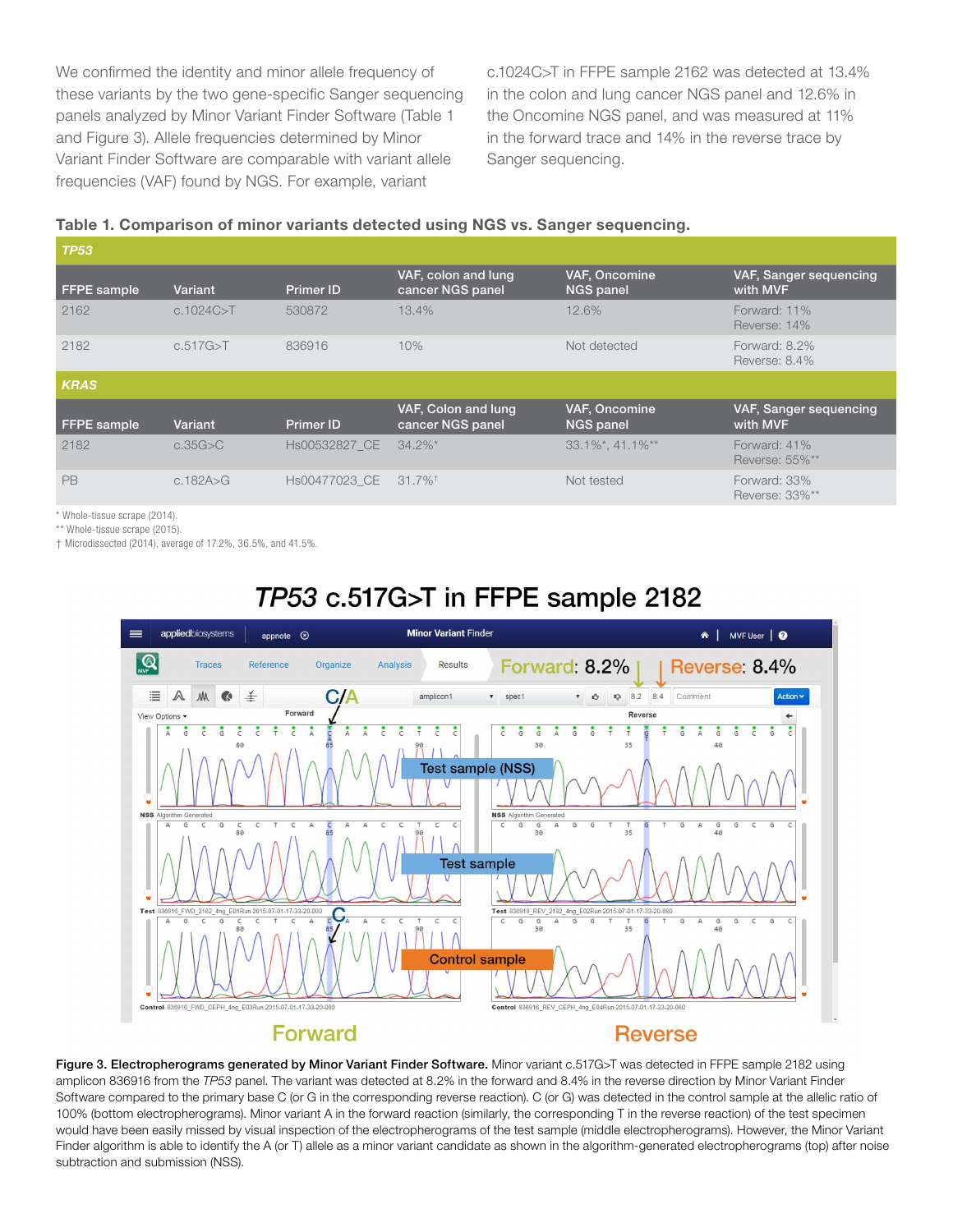We confirmed the identity and minor allele frequency of these variants by the two gene-specific Sanger sequencing panels analyzed by Minor Variant Finder Software (Table 1 and Figure 3). Allele frequencies determined by Minor Variant Finder Software are comparable with variant allele frequencies (VAF) found by NGS. For example, variant

c.1024C>T in FFPE sample 2162 was detected at 13.4% in the colon and lung cancer NGS panel and 12.6% in the Oncomine NGS panel, and was measured at 11% in the forward trace and 14% in the reverse trace by Sanger sequencing.

#### Table 1. Comparison of minor variants detected using NGS vs. Sanger sequencing.

| <b>TP53</b>        |             |                  |                                         |                                   |                                    |  |  |  |
|--------------------|-------------|------------------|-----------------------------------------|-----------------------------------|------------------------------------|--|--|--|
| <b>FFPE</b> sample | Variant     | <b>Primer ID</b> | VAF, colon and lung<br>cancer NGS panel | VAF, Oncomine<br><b>NGS panel</b> | VAF, Sanger sequencing<br>with MVF |  |  |  |
| 2162               | c.1024C > T | 530872           | 13.4%                                   | 12.6%                             | Forward: 11%<br>Reverse: 14%       |  |  |  |
| 2182               | c.517G > T  | 836916           | 10%                                     | Not detected                      | Forward: $8.2\%$<br>Reverse: 8.4%  |  |  |  |
| <b>KRAS</b>        |             |                  |                                         |                                   |                                    |  |  |  |
| <b>FFPE</b> sample | Variant     | <b>Primer ID</b> | VAF, Colon and lung<br>cancer NGS panel | VAF, Oncomine<br><b>NGS panel</b> | VAF, Sanger sequencing<br>with MVF |  |  |  |
| 2182               | c.35G>C     | Hs00532827 CE    | $34.2\%$ <sup>*</sup>                   | $33.1\%$ *, 41.1%**               | Forward: 41%<br>Reverse: 55%**     |  |  |  |
| PB                 | c.182A > G  | Hs00477023 CE    | $31.7\%$ <sup>†</sup>                   | Not tested                        | Forward: 33%<br>Reverse: 33%**     |  |  |  |

\* Whole-tissue scrape (2014).

\*\* Whole-tissue scrape (2015).

† Microdissected (2014), average of 17.2%, 36.5%, and 41.5%.



## TP53 c.517G>T in FFPE sample 2182

Figure 3. Electropherograms generated by Minor Variant Finder Software. Minor variant c.517G>T was detected in FFPE sample 2182 using amplicon 836916 from the *TP53* panel. The variant was detected at 8.2% in the forward and 8.4% in the reverse direction by Minor Variant Finder Software compared to the primary base C (or G in the corresponding reverse reaction). C (or G) was detected in the control sample at the allelic ratio of 100% (bottom electropherograms). Minor variant A in the forward reaction (similarly, the corresponding T in the reverse reaction) of the test specimen would have been easily missed by visual inspection of the electropherograms of the test sample (middle electropherograms). However, the Minor Variant Finder algorithm is able to identify the A (or T) allele as a minor variant candidate as shown in the algorithm-generated electropherograms (top) after noise subtraction and submission (NSS).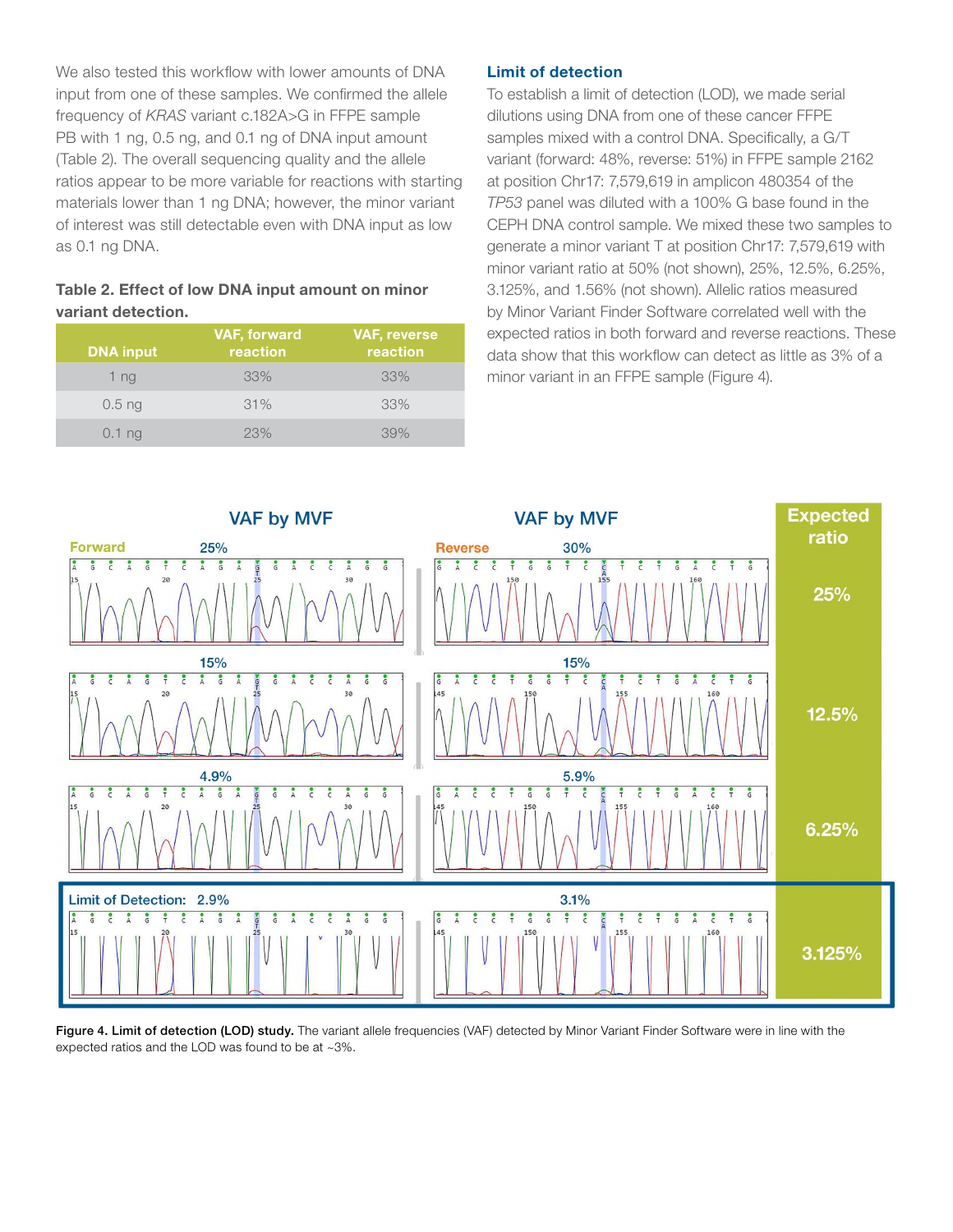We also tested this workflow with lower amounts of DNA input from one of these samples. We confirmed the allele frequency of *KRAS* variant c.182A>G in FFPE sample PB with 1 ng, 0.5 ng, and 0.1 ng of DNA input amount (Table 2). The overall sequencing quality and the allele ratios appear to be more variable for reactions with starting materials lower than 1 ng DNA; however, the minor variant of interest was still detectable even with DNA input as low as 0.1 ng DNA.

#### Table 2. Effect of low DNA input amount on minor variant detection.

| <b>DNA input</b> | <b>VAF, forward</b><br>reaction | <b>VAF, reverse</b><br>reaction |
|------------------|---------------------------------|---------------------------------|
| 1 <sub>ng</sub>  | 33%                             | 33%                             |
| $0.5$ ng         | 31%                             | 33%                             |
| $0.1$ ng         | 23%                             | 39%                             |

#### Limit of detection

To establish a limit of detection (LOD), we made serial dilutions using DNA from one of these cancer FFPE samples mixed with a control DNA. Specifically, a G/T variant (forward: 48%, reverse: 51%) in FFPE sample 2162 at position Chr17: 7,579,619 in amplicon 480354 of the *TP53* panel was diluted with a 100% G base found in the CEPH DNA control sample. We mixed these two samples to generate a minor variant T at position Chr17: 7,579,619 with minor variant ratio at 50% (not shown), 25%, 12.5%, 6.25%, 3.125%, and 1.56% (not shown). Allelic ratios measured by Minor Variant Finder Software correlated well with the expected ratios in both forward and reverse reactions. These data show that this workflow can detect as little as 3% of a minor variant in an FFPE sample (Figure 4).



Figure 4. Limit of detection (LOD) study. The variant allele frequencies (VAF) detected by Minor Variant Finder Software were in line with the expected ratios and the LOD was found to be at ~3%.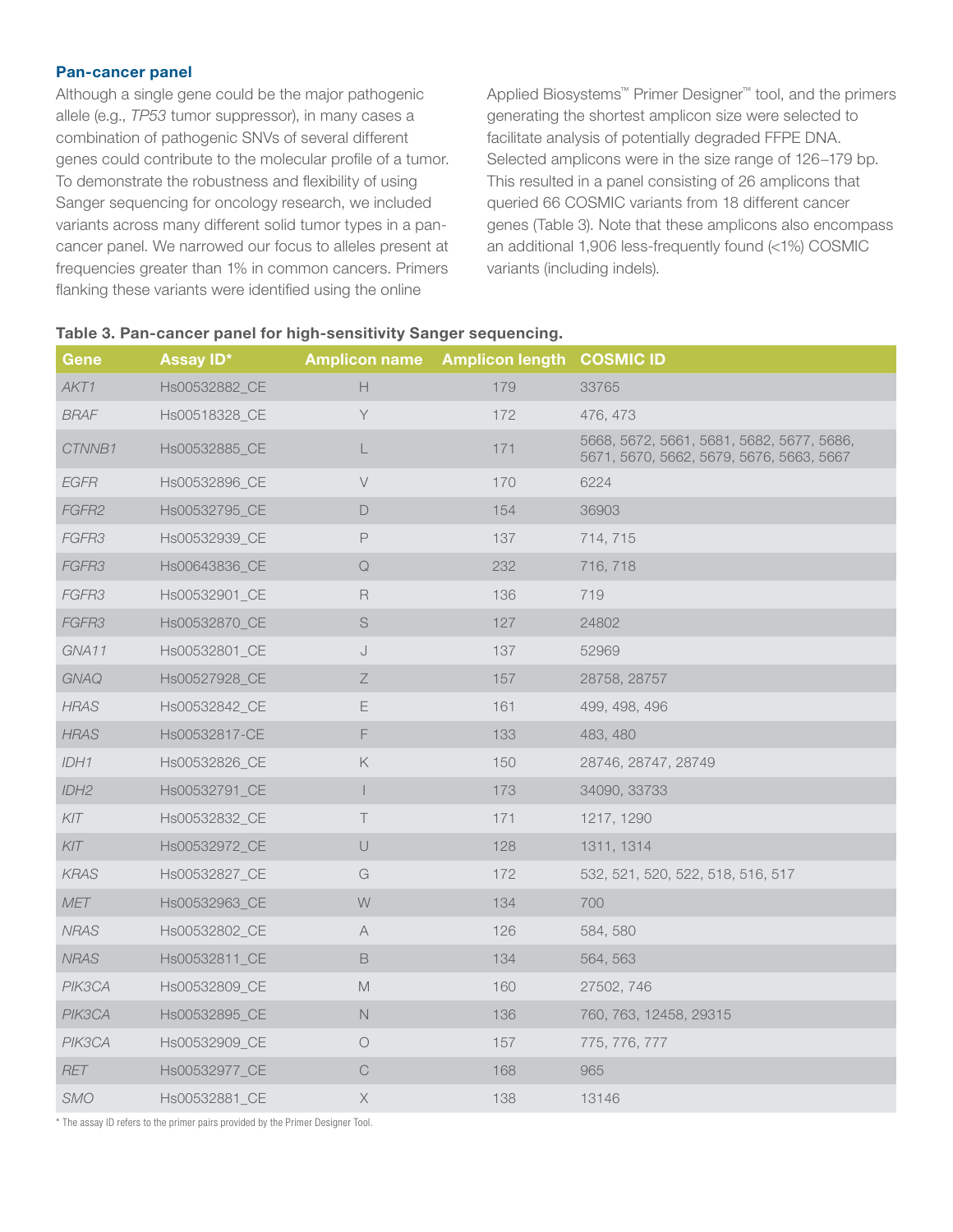#### Pan-cancer panel

Although a single gene could be the major pathogenic allele (e.g., *TP53* tumor suppressor), in many cases a combination of pathogenic SNVs of several different genes could contribute to the molecular profile of a tumor. To demonstrate the robustness and flexibility of using Sanger sequencing for oncology research, we included variants across many different solid tumor types in a pancancer panel. We narrowed our focus to alleles present at frequencies greater than 1% in common cancers. Primers flanking these variants were identified using the online

Applied Biosystems™ Primer Designer™ tool, and the primers generating the shortest amplicon size were selected to facilitate analysis of potentially degraded FFPE DNA. Selected amplicons were in the size range of 126−179 bp. This resulted in a panel consisting of 26 amplicons that queried 66 COSMIC variants from 18 different cancer genes (Table 3). Note that these amplicons also encompass an additional 1,906 less-frequently found (<1%) COSMIC variants (including indels).

#### Table 3. Pan-cancer panel for high-sensitivity Sanger sequencing.

| Gene             | Assay ID*     | <b>Amplicon name</b>                                                                  | <b>Amplicon length COSMIC ID</b> |                                                                                       |
|------------------|---------------|---------------------------------------------------------------------------------------|----------------------------------|---------------------------------------------------------------------------------------|
| AKT1             | Hs00532882_CE | $\mathsf{H}% _{\mathbb{R}}^{1}\left( \mathbb{R}^{2}\right)$                           | 179                              | 33765                                                                                 |
| <b>BRAF</b>      | Hs00518328 CE | Y                                                                                     | 172                              | 476, 473                                                                              |
| CTNNB1           | Hs00532885_CE | L                                                                                     | 171                              | 5668, 5672, 5661, 5681, 5682, 5677, 5686,<br>5671, 5670, 5662, 5679, 5676, 5663, 5667 |
| <b>EGFR</b>      | Hs00532896_CE | V                                                                                     | 170                              | 6224                                                                                  |
| FGFR2            | Hs00532795_CE | D                                                                                     | 154                              | 36903                                                                                 |
| FGFR3            | Hs00532939_CE | $\mathsf P$                                                                           | 137                              | 714, 715                                                                              |
| FGFR3            | Hs00643836_CE | $\hbox{\large \bf Q}$                                                                 | 232                              | 716, 718                                                                              |
| FGFR3            | Hs00532901_CE | R                                                                                     | 136                              | 719                                                                                   |
| FGFR3            | Hs00532870_CE | S                                                                                     | 127                              | 24802                                                                                 |
| GNA11            | Hs00532801_CE | $\bigcup$                                                                             | 137                              | 52969                                                                                 |
| <b>GNAQ</b>      | Hs00527928_CE | $\, \mathsf Z$                                                                        | 157                              | 28758, 28757                                                                          |
| <b>HRAS</b>      | Hs00532842_CE | E                                                                                     | 161                              | 499, 498, 496                                                                         |
| <b>HRAS</b>      | Hs00532817-CE | F                                                                                     | 133                              | 483, 480                                                                              |
| IDH1             | Hs00532826_CE | $\mathsf{K}% _{0}^{\prime}=\mathsf{K}_{0}^{\prime}$                                   | 150                              | 28746, 28747, 28749                                                                   |
| IDH <sub>2</sub> | Hs00532791_CE | $\overline{1}$                                                                        | 173                              | 34090, 33733                                                                          |
| KIT              | Hs00532832_CE | $\top$                                                                                | 171                              | 1217, 1290                                                                            |
| KIT              | Hs00532972_CE | $\bigcup$                                                                             | 128                              | 1311, 1314                                                                            |
| <b>KRAS</b>      | Hs00532827_CE | G                                                                                     | 172                              | 532, 521, 520, 522, 518, 516, 517                                                     |
| MET              | Hs00532963_CE | $\mathsf{W}% _{T}=\mathsf{W}_{T}\!\left( a,b\right) ,\ \mathsf{W}_{T}=\mathsf{W}_{T}$ | 134                              | 700                                                                                   |
| <b>NRAS</b>      | Hs00532802_CE | $\forall$                                                                             | 126                              | 584, 580                                                                              |
| <b>NRAS</b>      | Hs00532811_CE | B                                                                                     | 134                              | 564, 563                                                                              |
| PIK3CA           | Hs00532809 CE | $\mathbb M$                                                                           | 160                              | 27502, 746                                                                            |
| PIK3CA           | Hs00532895_CE | $\hbox{N}$                                                                            | 136                              | 760, 763, 12458, 29315                                                                |
| PIK3CA           | Hs00532909_CE | $\bigcirc$                                                                            | 157                              | 775, 776, 777                                                                         |
| RET              | Hs00532977_CE | C                                                                                     | 168                              | 965                                                                                   |
| SMO              | Hs00532881_CE | $\mathsf X$                                                                           | 138                              | 13146                                                                                 |

\* The assay ID refers to the primer pairs provided by the Primer Designer Tool.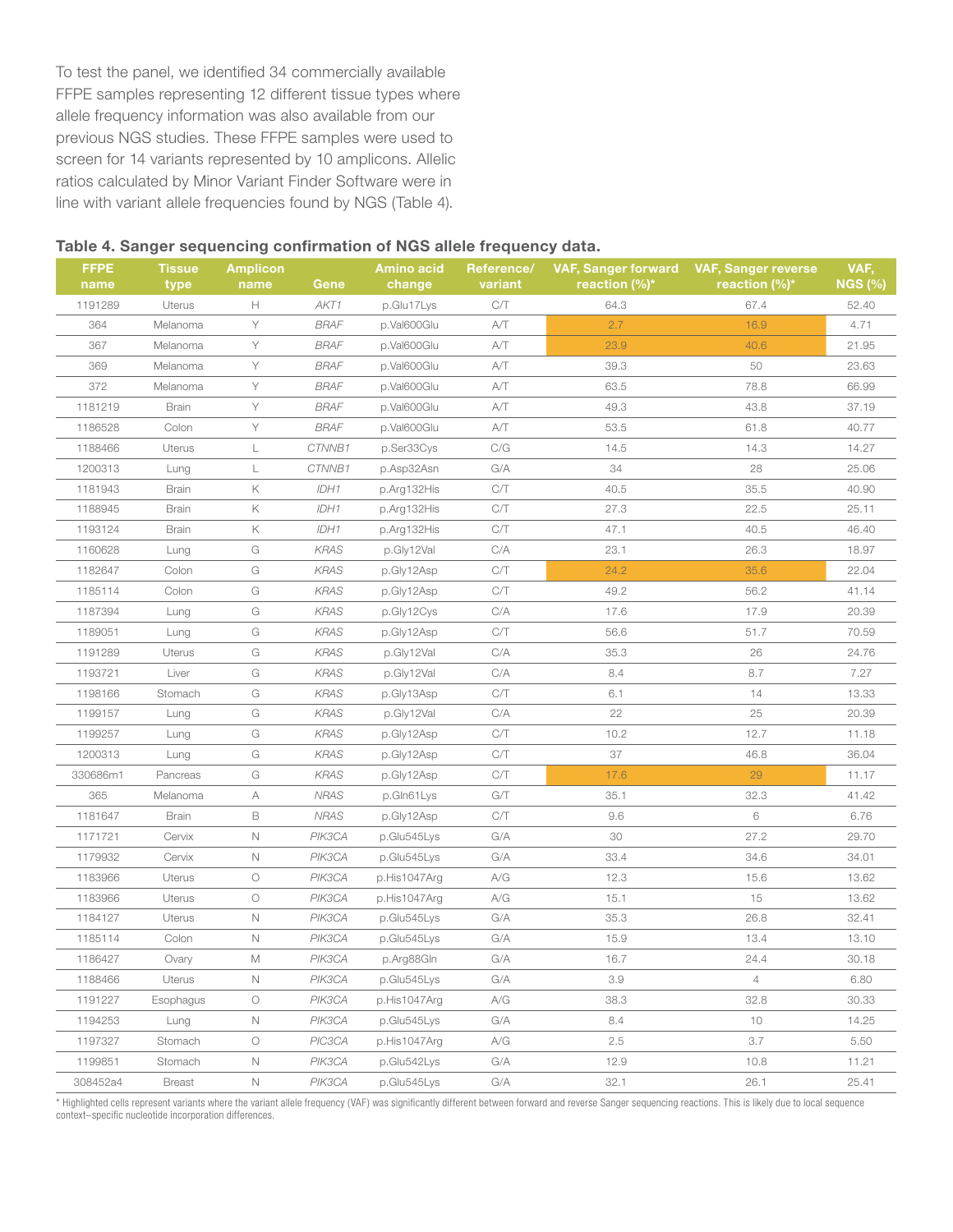To test the panel, we identified 34 commercially available FFPE samples representing 12 different tissue types where allele frequency information was also available from our previous NGS studies. These FFPE samples were used to screen for 14 variants represented by 10 amplicons. Allelic ratios calculated by Minor Variant Finder Software were in line with variant allele frequencies found by NGS (Table 4).

#### Table 4. Sanger sequencing confirmation of NGS allele frequency data.

| <b>FFPE</b><br>name | <b>Tissue</b><br>type | <b>Amplicon</b><br>name | Gene        | <b>Amino acid</b><br>change | Reference/<br>variant   | <b>VAF, Sanger forward</b><br>reaction $(\%)^*$ | <b>VAF, Sanger reverse</b><br>reaction $(\frac{6}{6})^*$ | VAF,<br><b>NGS (%)</b> |
|---------------------|-----------------------|-------------------------|-------------|-----------------------------|-------------------------|-------------------------------------------------|----------------------------------------------------------|------------------------|
| 1191289             | Uterus                | H                       | AKT1        | p.Glu17Lys                  | C/T                     | 64.3                                            | 67.4                                                     | 52.40                  |
| 364                 | Melanoma              | Υ                       | <b>BRAF</b> | p.Val600Glu                 | A/T                     | 2.7                                             | 16.9                                                     | 4.71                   |
| 367                 | Melanoma              | Y                       | <b>BRAF</b> | p.Val600Glu                 | A/T                     | 23.9                                            | 40.6                                                     | 21.95                  |
| 369                 | Melanoma              | Y                       | <b>BRAF</b> | p.Val600Glu                 | A/T                     | 39.3                                            | 50                                                       | 23.63                  |
| 372                 | Melanoma              | Y                       | <b>BRAF</b> | p.Val600Glu                 | A/T                     | 63.5                                            | 78.8                                                     | 66.99                  |
| 1181219             | <b>Brain</b>          | Υ                       | <b>BRAF</b> | p.Val600Glu                 | A/T                     | 49.3                                            | 43.8                                                     | 37.19                  |
| 1186528             | Colon                 | Υ                       | <b>BRAF</b> | p.Val600Glu                 | A/T                     | 53.5                                            | 61.8                                                     | 40.77                  |
| 1188466             | Uterus                | L                       | CTNNB1      | p.Ser33Cys                  | C/G                     | 14.5                                            | 14.3                                                     | 14.27                  |
| 1200313             | Lung                  | L                       | CTNNB1      | p.Asp32Asn                  | G/A                     | 34                                              | 28                                                       | 25.06                  |
| 1181943             | <b>Brain</b>          | Κ                       | IDH1        | p.Arg132His                 | C/T                     | 40.5                                            | 35.5                                                     | 40.90                  |
| 1188945             | <b>Brain</b>          | Κ                       | IDH1        | p.Arg132His                 | C/T                     | 27.3                                            | 22.5                                                     | 25.11                  |
| 1193124             | <b>Brain</b>          | Κ                       | IDH1        | p.Arg132His                 | C/T                     | 47.1                                            | 40.5                                                     | 46.40                  |
| 1160628             | Lung                  | G                       | <b>KRAS</b> | p.Gly12Val                  | C/A                     | 23.1                                            | 26.3                                                     | 18.97                  |
| 1182647             | Colon                 | G                       | <b>KRAS</b> | p.Gly12Asp                  | C/T                     | 24.2                                            | 35.6                                                     | 22.04                  |
| 1185114             | Colon                 | G                       | <b>KRAS</b> | p.Gly12Asp                  | C/T                     | 49.2                                            | 56.2                                                     | 41.14                  |
| 1187394             | Lung                  | G                       | <b>KRAS</b> | p.Gly12Cys                  | C/A                     | 17.6                                            | 17.9                                                     | 20.39                  |
| 1189051             | Lung                  | G                       | <b>KRAS</b> | p.Gly12Asp                  | C/T                     | 56.6                                            | 51.7                                                     | 70.59                  |
| 1191289             | Uterus                | G                       | KRAS        | p.Gly12Val                  | C/A                     | 35.3                                            | 26                                                       | 24.76                  |
| 1193721             | Liver                 | G                       | KRAS        | p.Gly12Val                  | C/A                     | 8.4                                             | 8.7                                                      | 7.27                   |
| 1198166             | Stomach               | G                       | KRAS        | p.Gly13Asp                  | C/T                     | 6.1                                             | 14                                                       | 13.33                  |
| 1199157             | Lung                  | G                       | KRAS        | p.Gly12Val                  | C/A                     | 22                                              | 25                                                       | 20.39                  |
| 1199257             | Lung                  | G                       | KRAS        | p.Gly12Asp                  | C/T                     | 10.2                                            | 12.7                                                     | 11.18                  |
| 1200313             | Lung                  | G                       | KRAS        | p.Gly12Asp                  | C/T                     | 37                                              | 46.8                                                     | 36.04                  |
| 330686m1            | Pancreas              | G                       | KRAS        | p.Gly12Asp                  | CЛ                      | 17.6                                            | 29                                                       | 11.17                  |
| 365                 | Melanoma              | А                       | <b>NRAS</b> | p.Gln61Lys                  | G/T                     | 35.1                                            | 32.3                                                     | 41.42                  |
| 1181647             | <b>Brain</b>          | B                       | <b>NRAS</b> | p.Gly12Asp                  | C/T                     | 9.6                                             | 6                                                        | 6.76                   |
| 1171721             | Cervix                | $\hbox{N}$              | PIK3CA      | p.Glu545Lys                 | G/A                     | 30                                              | 27.2                                                     | 29.70                  |
| 1179932             | Cervix                | $\mathbb N$             | PIK3CA      | p.Glu545Lys                 | G/A                     | 33.4                                            | 34.6                                                     | 34.01                  |
| 1183966             | Uterus                | $\bigcirc$              | PIK3CA      | p.His1047Arg                | A/G                     | 12.3                                            | 15.6                                                     | 13.62                  |
| 1183966             | Uterus                | $\bigcirc$              | PIK3CA      | p.His1047Arg                | A/G                     | 15.1                                            | 15                                                       | 13.62                  |
| 1184127             | Uterus                | $\hbox{N}$              | PIK3CA      | p.Glu545Lys                 | G/A                     | 35.3                                            | 26.8                                                     | 32.41                  |
| 1185114             | Colon                 | $\mathbb N$             | PIK3CA      | p.Glu545Lys                 | G/A                     | 15.9                                            | 13.4                                                     | 13.10                  |
| 1186427             | Ovary                 | М                       | PIK3CA      | p.Arg88Gln                  | $\mathrm{G}/\mathrm{A}$ | 16.7                                            | 24.4                                                     | 30.18                  |
| 1188466             | Uterus                | Ν                       | PIK3CA      | p.Glu545Lys                 | G/A                     | 3.9                                             | 4                                                        | 6.80                   |
| 1191227             | Esophagus             | $\circ$                 | PIK3CA      | p.His1047Arg                | A/G                     | 38.3                                            | 32.8                                                     | 30.33                  |
| 1194253             | Lung                  | N                       | PIK3CA      | p.Glu545Lys                 | G/A                     | 8.4                                             | 10                                                       | 14.25                  |
| 1197327             | Stomach               | $\bigcirc$              | PIC3CA      | p.His1047Arg                | A/G                     | 2.5                                             | 3.7                                                      | 5.50                   |
| 1199851             | Stomach               | $\hbox{N}$              | PIK3CA      | p.Glu542Lys                 | G/A                     | 12.9                                            | 10.8                                                     | 11.21                  |
| 308452a4            | <b>Breast</b>         | $\mathsf{N}$            | PIK3CA      | p.Glu545Lys                 | G/A                     | 32.1                                            | 26.1                                                     | 25.41                  |

\* Highlighted cells represent variants where the variant allele frequency (VAF) was significantly different between forward and reverse Sanger sequencing reactions. This is likely due to local sequence context–specific nucleotide incorporation differences.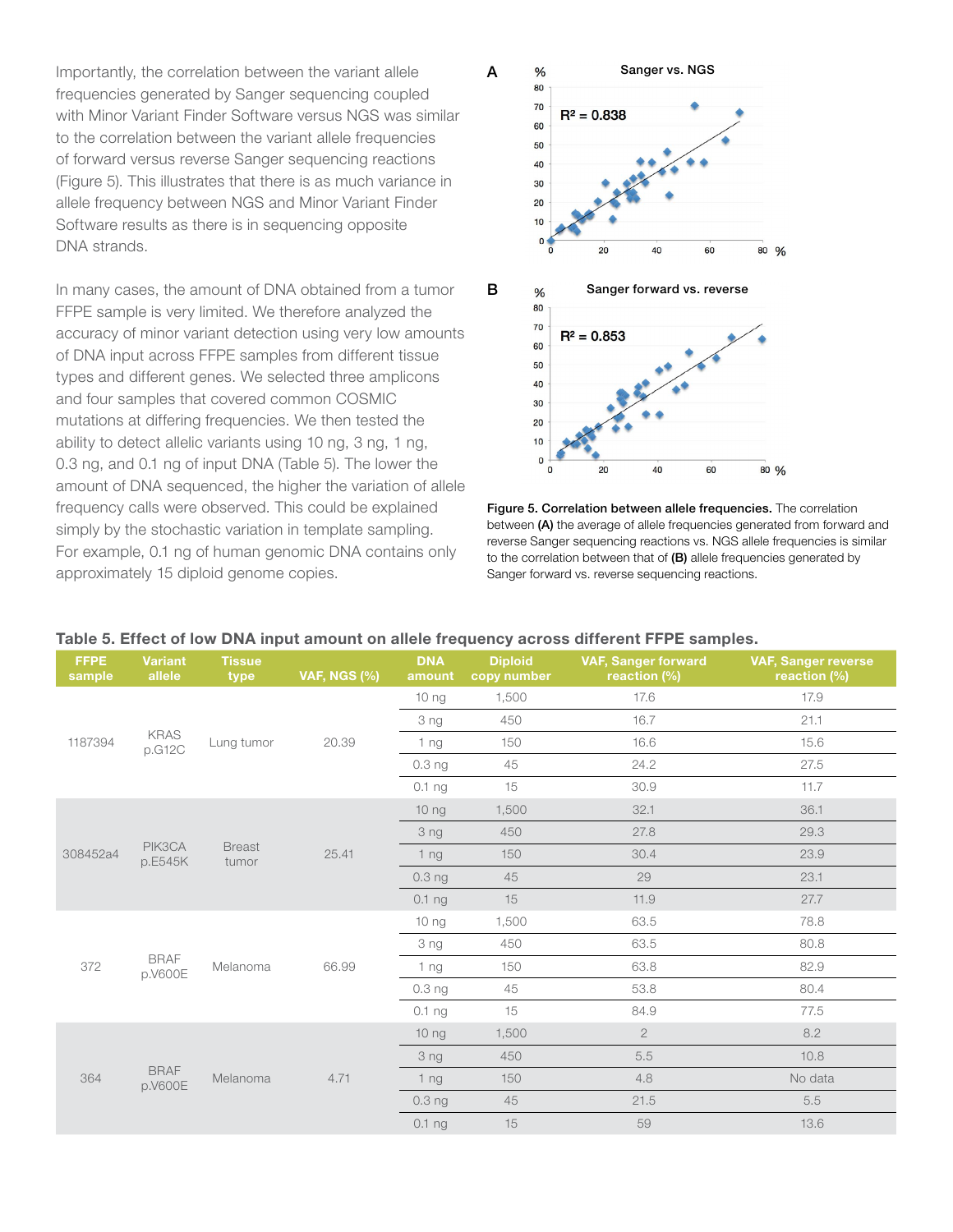Importantly, the correlation between the variant allele frequencies generated by Sanger sequencing coupled with Minor Variant Finder Software versus NGS was similar to the correlation between the variant allele frequencies of forward versus reverse Sanger sequencing reactions (Figure 5). This illustrates that there is as much variance in allele frequency between NGS and Minor Variant Finder Software results as there is in sequencing opposite DNA strands.

In many cases, the amount of DNA obtained from a tumor FFPE sample is very limited. We therefore analyzed the accuracy of minor variant detection using very low amounts of DNA input across FFPE samples from different tissue types and different genes. We selected three amplicons and four samples that covered common COSMIC mutations at differing frequencies. We then tested the ability to detect allelic variants using 10 ng, 3 ng, 1 ng, 0.3 ng, and 0.1 ng of input DNA (Table 5). The lower the amount of DNA sequenced, the higher the variation of allele frequency calls were observed. This could be explained simply by the stochastic variation in template sampling. For example, 0.1 ng of human genomic DNA contains only approximately 15 diploid genome copies.



Figure 5. Correlation between allele frequencies. The correlation between (A) the average of allele frequencies generated from forward and reverse Sanger sequencing reactions vs. NGS allele frequencies is similar to the correlation between that of  $(B)$  allele frequencies generated by Sanger forward vs. reverse sequencing reactions.

| <b>FFPE</b><br>sample | <b>Variant</b><br>allele | <b>Tissue</b><br>type  | <b>VAF, NGS (%)</b> | <b>DNA</b><br>amount | <b>Diploid</b><br>copy number | <b>VAF, Sanger forward</b><br>reaction (%) | <b>VAF, Sanger reverse</b><br>reaction (%) |
|-----------------------|--------------------------|------------------------|---------------------|----------------------|-------------------------------|--------------------------------------------|--------------------------------------------|
| 1187394               |                          | Lung tumor             | 20.39               | 10 ng                | 1,500                         | 17.6                                       | 17.9                                       |
|                       |                          |                        |                     | 3 ng                 | 450                           | 16.7                                       | 21.1                                       |
|                       | <b>KRAS</b><br>p.G12C    |                        |                     | 1 <sub>ng</sub>      | 150                           | 16.6                                       | 15.6                                       |
|                       |                          |                        |                     | 0.3 <sub>ng</sub>    | 45                            | 24.2                                       | 27.5                                       |
|                       |                          |                        |                     | 0.1 <sub>ng</sub>    | 15                            | 30.9                                       | 11.7                                       |
|                       |                          |                        | 25.41               | 10 ng                | 1,500                         | 32.1                                       | 36.1                                       |
|                       |                          |                        |                     | 3 ng                 | 450                           | 27.8                                       | 29.3                                       |
| 308452a4              | PIK3CA<br>p.E545K        | <b>Breast</b><br>tumor |                     | 1 <sub>ng</sub>      | 150                           | 30.4                                       | 23.9                                       |
|                       |                          |                        |                     | 0.3 <sub>ng</sub>    | 45                            | 29                                         | 23.1                                       |
|                       |                          |                        |                     | 0.1 <sub>ng</sub>    | 15                            | 11.9                                       | 27.7                                       |
|                       | <b>BRAF</b><br>p.V600E   | Melanoma               | 66.99               | 10 ng                | 1,500                         | 63.5                                       | 78.8                                       |
|                       |                          |                        |                     | 3 ng                 | 450                           | 63.5                                       | 80.8                                       |
| 372                   |                          |                        |                     | 1 <sub>ng</sub>      | 150                           | 63.8                                       | 82.9                                       |
|                       |                          |                        |                     | 0.3 <sub>ng</sub>    | 45                            | 53.8                                       | 80.4                                       |
|                       |                          |                        |                     | 0.1 <sub>ng</sub>    | 15                            | 84.9                                       | 77.5                                       |
|                       |                          | Melanoma               | 4.71                | 10 ng                | 1,500                         | $\mathbf{2}$                               | 8.2                                        |
| 364                   |                          |                        |                     | 3 ng                 | 450                           | 5.5                                        | 10.8                                       |
|                       | <b>BRAF</b><br>p.V600E   |                        |                     | 1 <sub>ng</sub>      | 150                           | 4.8                                        | No data                                    |
|                       |                          |                        |                     | 0.3 <sub>ng</sub>    | 45                            | 21.5                                       | 5.5                                        |
|                       |                          |                        |                     | 0.1 <sub>ng</sub>    | 15                            | 59                                         | 13.6                                       |

#### Table 5. Effect of low DNA input amount on allele frequency across different FFPE samples.